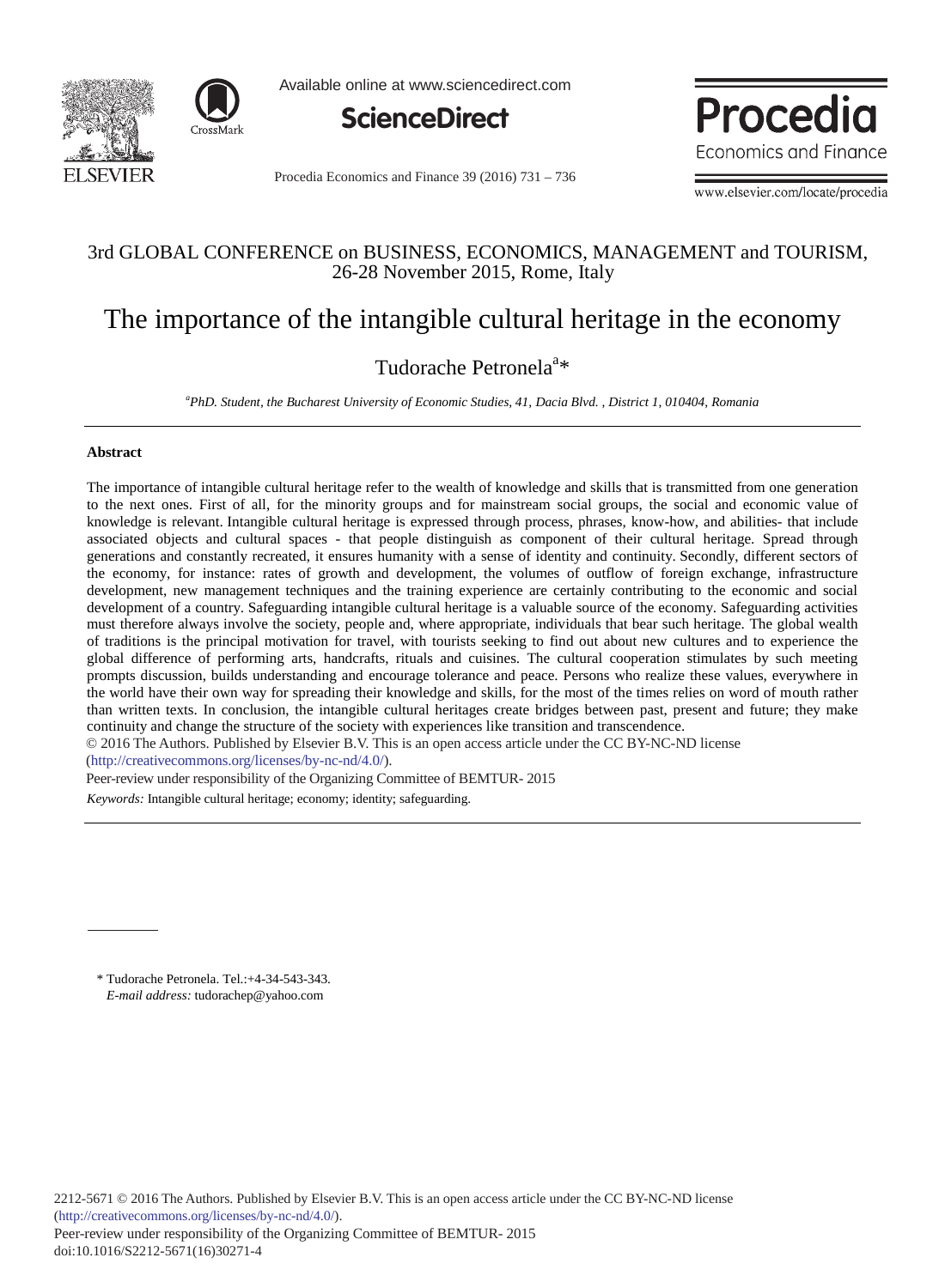



Available online at www.sciencedirect.com



Procedia Economics and Finance 39 (2016) 731 – 736



www.elsevier.com/locate/procedia

### 3rd GLOBAL CONFERENCE on BUSINESS, ECONOMICS, MANAGEMENT and TOURISM, 26-28 November 2015, Rome, Italy

# The importance of the intangible cultural heritage in the economy

## Tudorache Petronela<sup>a\*</sup>

*a PhD. Student, the Bucharest University of Economic Studies, 41, Dacia Blvd. , District 1, 010404, Romania*

#### **Abstract**

The importance of intangible cultural heritage refer to the wealth of knowledge and skills that is transmitted from one generation to the next ones. First of all, for the minority groups and for mainstream social groups, the social and economic value of knowledge is relevant. Intangible cultural heritage is expressed through process, phrases, know-how, and abilities- that include associated objects and cultural spaces - that people distinguish as component of their cultural heritage. Spread through generations and constantly recreated, it ensures humanity with a sense of identity and continuity. Secondly, different sectors of the economy, for instance: rates of growth and development, the volumes of outflow of foreign exchange, infrastructure development, new management techniques and the training experience are certainly contributing to the economic and social development of a country. Safeguarding intangible cultural heritage is a valuable source of the economy. Safeguarding activities must therefore always involve the society, people and, where appropriate, individuals that bear such heritage. The global wealth of traditions is the principal motivation for travel, with tourists seeking to find out about new cultures and to experience the global difference of performing arts, handcrafts, rituals and cuisines. The cultural cooperation stimulates by such meeting prompts discussion, builds understanding and encourage tolerance and peace. Persons who realize these values, everywhere in the world have their own way for spreading their knowledge and skills, for the most of the times relies on word of mouth rather than written texts. In conclusion, the intangible cultural heritages create bridges between past, present and future; they make continuity and change the structure of the society with experiences like transition and transcendence.

© 2016 The Authors. Published by Elsevier B.V. © 2016 The Authors. Published by Elsevier B.V. This is an open access article under the CC BY-NC-ND license

(http://creativecommons.org/licenses/by-nc-nd/4.0/).

*Keywords:* Intangible cultural heritage; economy; identity; safeguarding. Peer-review under responsibility of the Organizing Committee of BEMTUR- 2015

\* Tudorache Petronela. Tel.:+4-34-543-343. *E-mail address:* tudorachep@yahoo.com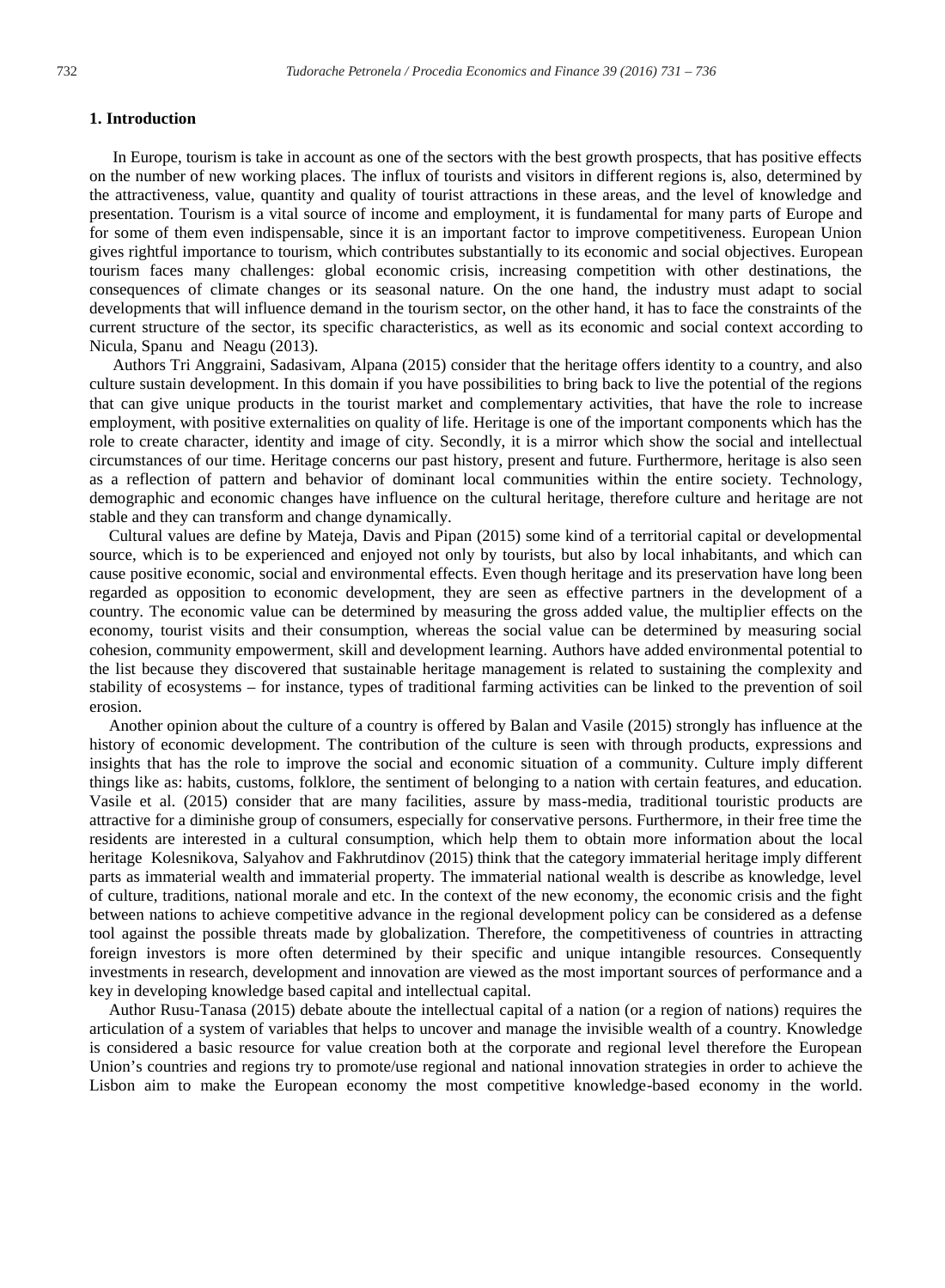#### **1. Introduction**

In Europe, tourism is take in account as one of the sectors with the best growth prospects, that has positive effects on the number of new working places. The influx of tourists and visitors in different regions is, also, determined by the attractiveness, value, quantity and quality of tourist attractions in these areas, and the level of knowledge and presentation. Tourism is a vital source of income and employment, it is fundamental for many parts of Europe and for some of them even indispensable, since it is an important factor to improve competitiveness. European Union gives rightful importance to tourism, which contributes substantially to its economic and social objectives. European tourism faces many challenges: global economic crisis, increasing competition with other destinations, the consequences of climate changes or its seasonal nature. On the one hand, the industry must adapt to social developments that will influence demand in the tourism sector, on the other hand, it has to face the constraints of the current structure of the sector, its specific characteristics, as well as its economic and social context according to Nicula, Spanu and Neagu (2013).

Authors Tri Anggraini, Sadasivam, Alpana (2015) consider that the heritage offers identity to a country, and also culture sustain development. In this domain if you have possibilities to bring back to live the potential of the regions that can give unique products in the tourist market and complementary activities, that have the role to increase employment, with positive externalities on quality of life. Heritage is one of the important components which has the role to create character, identity and image of city. Secondly, it is a mirror which show the social and intellectual circumstances of our time. Heritage concerns our past history, present and future. Furthermore, heritage is also seen as a reflection of pattern and behavior of dominant local communities within the entire society. Technology, demographic and economic changes have influence on the cultural heritage, therefore culture and heritage are not stable and they can transform and change dynamically.

Cultural values are define by Mateja, Davis and Pipan (2015) some kind of a territorial capital or developmental source, which is to be experienced and enjoyed not only by tourists, but also by local inhabitants, and which can cause positive economic, social and environmental effects. Even though heritage and its preservation have long been regarded as opposition to economic development, they are seen as effective partners in the development of a country. The economic value can be determined by measuring the gross added value, the multiplier effects on the economy, tourist visits and their consumption, whereas the social value can be determined by measuring social cohesion, community empowerment, skill and development learning. Authors have added environmental potential to the list because they discovered that sustainable heritage management is related to sustaining the complexity and stability of ecosystems – for instance, types of traditional farming activities can be linked to the prevention of soil erosion.

Another opinion about the culture of a country is offered by Balan and Vasile (2015) strongly has influence at the history of economic development. The contribution of the culture is seen with through products, expressions and insights that has the role to improve the social and economic situation of a community. Culture imply different things like as: habits, customs, folklore, the sentiment of belonging to a nation with certain features, and education. Vasile et al. (2015) consider that are many facilities, assure by mass-media, traditional touristic products are attractive for a diminishe group of consumers, especially for conservative persons. Furthermore, in their free time the residents are interested in a cultural consumption, which help them to obtain more information about the local heritage Kolesnikova, Salyahov and Fakhrutdinov (2015) think that the category immaterial heritage imply different parts as immaterial wealth and immaterial property. The immaterial national wealth is describe as knowledge, level of culture, traditions, national morale and etc. In the context of the new economy, the economic crisis and the fight between nations to achieve competitive advance in the regional development policy can be considered as a defense tool against the possible threats made by globalization. Therefore, the competitiveness of countries in attracting foreign investors is more often determined by their specific and unique intangible resources. Consequently investments in research, development and innovation are viewed as the most important sources of performance and a key in developing knowledge based capital and intellectual capital.

Author Rusu-Tanasa (2015) debate aboute the intellectual capital of a nation (or a region of nations) requires the articulation of a system of variables that helps to uncover and manage the invisible wealth of a country. Knowledge is considered a basic resource for value creation both at the corporate and regional level therefore the European Union's countries and regions try to promote/use regional and national innovation strategies in order to achieve the Lisbon aim to make the European economy the most competitive knowledge-based economy in the world.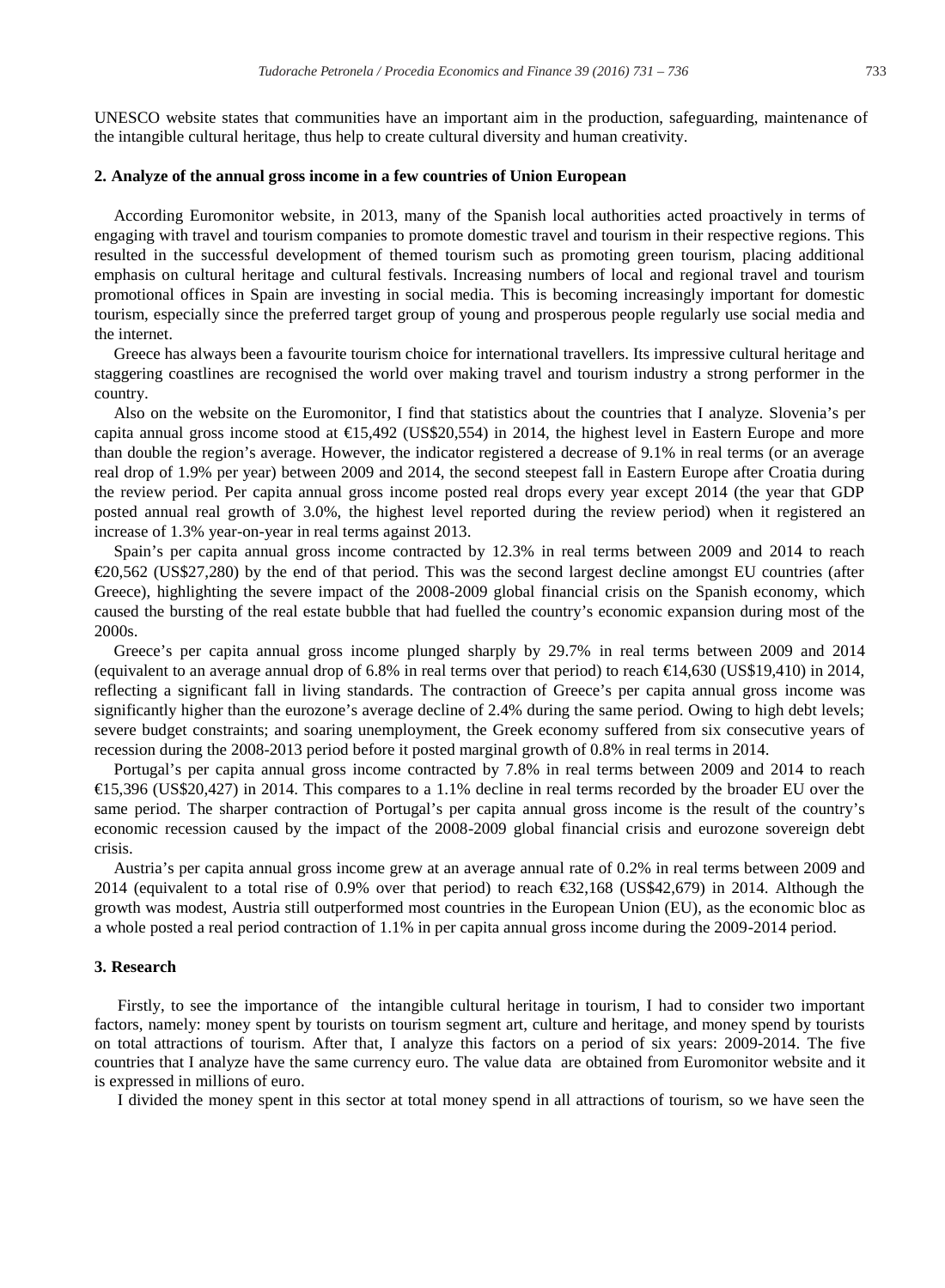UNESCO website states that communities have an important aim in the production, safeguarding, maintenance of the intangible cultural heritage, thus help to create cultural diversity and human creativity.

#### **2. Analyze of the annual gross income in a few countries of Union European**

According Euromonitor website, in 2013, many of the Spanish local authorities acted proactively in terms of engaging with travel and tourism companies to promote domestic travel and tourism in their respective regions. This resulted in the successful development of themed tourism such as promoting green tourism, placing additional emphasis on cultural heritage and cultural festivals. Increasing numbers of local and regional travel and tourism promotional offices in Spain are investing in social media. This is becoming increasingly important for domestic tourism, especially since the preferred target group of young and prosperous people regularly use social media and the internet.

Greece has always been a favourite tourism choice for international travellers. Its impressive cultural heritage and staggering coastlines are recognised the world over making travel and tourism industry a strong performer in the country.

Also on the website on the Euromonitor, I find that statistics about the countries that I analyze. Slovenia's per capita annual gross income stood at  $\text{€}15,492$  (US\$20,554) in 2014, the highest level in Eastern Europe and more than double the region's average. However, the indicator registered a decrease of 9.1% in real terms (or an average real drop of 1.9% per year) between 2009 and 2014, the second steepest fall in Eastern Europe after Croatia during the review period. Per capita annual gross income posted real drops every year except 2014 (the year that GDP posted annual real growth of 3.0%, the highest level reported during the review period) when it registered an increase of 1.3% year-on-year in real terms against 2013.

Spain's per capita annual gross income contracted by 12.3% in real terms between 2009 and 2014 to reach €20,562 (US\$27,280) by the end of that period. This was the second largest decline amongst EU countries (after Greece), highlighting the severe impact of the 2008-2009 global financial crisis on the Spanish economy, which caused the bursting of the real estate bubble that had fuelled the country's economic expansion during most of the 2000s.

Greece's per capita annual gross income plunged sharply by 29.7% in real terms between 2009 and 2014 (equivalent to an average annual drop of 6.8% in real terms over that period) to reach €14,630 (US\$19,410) in 2014, reflecting a significant fall in living standards. The contraction of Greece's per capita annual gross income was significantly higher than the eurozone's average decline of 2.4% during the same period. Owing to high debt levels; severe budget constraints; and soaring unemployment, the Greek economy suffered from six consecutive years of recession during the 2008-2013 period before it posted marginal growth of 0.8% in real terms in 2014.

Portugal's per capita annual gross income contracted by 7.8% in real terms between 2009 and 2014 to reach €15,396 (US\$20,427) in 2014. This compares to a 1.1% decline in real terms recorded by the broader EU over the same period. The sharper contraction of Portugal's per capita annual gross income is the result of the country's economic recession caused by the impact of the 2008-2009 global financial crisis and eurozone sovereign debt crisis.

Austria's per capita annual gross income grew at an average annual rate of 0.2% in real terms between 2009 and 2014 (equivalent to a total rise of 0.9% over that period) to reach €32,168 (US\$42,679) in 2014. Although the growth was modest, Austria still outperformed most countries in the European Union (EU), as the economic bloc as a whole posted a real period contraction of 1.1% in per capita annual gross income during the 2009-2014 period.

#### **3. Research**

Firstly, to see the importance of the intangible cultural heritage in tourism, I had to consider two important factors, namely: money spent by tourists on tourism segment art, culture and heritage, and money spend by tourists on total attractions of tourism. After that, I analyze this factors on a period of six years: 2009-2014. The five countries that I analyze have the same currency euro. The value data are obtained from Euromonitor website and it is expressed in millions of euro.

I divided the money spent in this sector at total money spend in all attractions of tourism, so we have seen the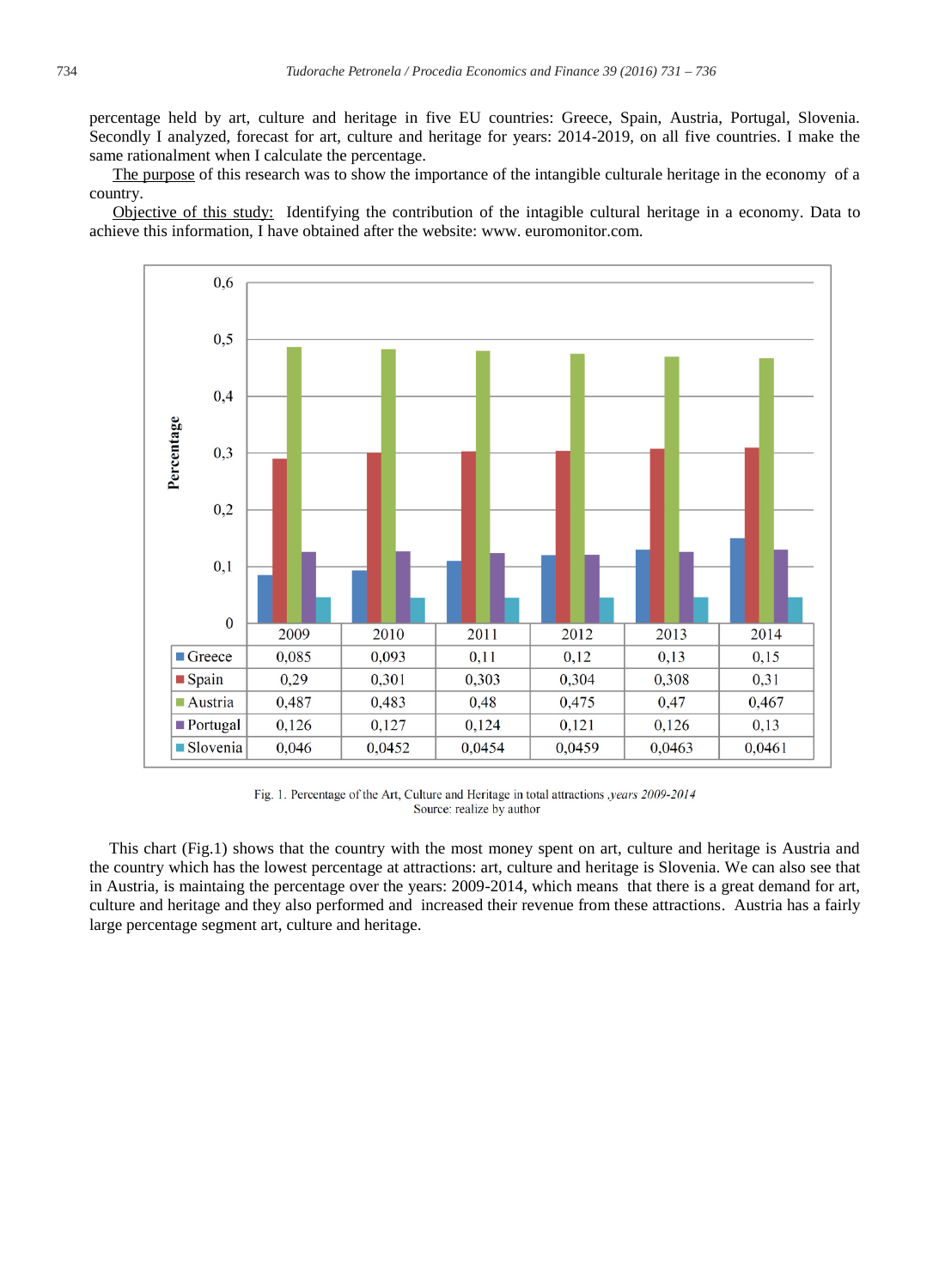percentage held by art, culture and heritage in five EU countries: Greece, Spain, Austria, Portugal, Slovenia. Secondly I analyzed, forecast for art, culture and heritage for years: 2014-2019, on all five countries. I make the same rationalment when I calculate the percentage.

The purpose of this research was to show the importance of the intangible culturale heritage in the economy of a country.

Objective of this study: Identifying the contribution of the intagible cultural heritage in a economy. Data to achieve this information, I have obtained after the website: www. euromonitor.com.



Fig. 1. Percentage of the Art, Culture and Heritage in total attractions , years 2009-2014 Source: realize by author

 This chart (Fig.1) shows that the country with the most money spent on art, culture and heritage is Austria and the country which has the lowest percentage at attractions: art, culture and heritage is Slovenia. We can also see that in Austria, is maintaing the percentage over the years: 2009-2014, which means that there is a great demand for art, culture and heritage and they also performed and increased their revenue from these attractions. Austria has a fairly large percentage segment art, culture and heritage.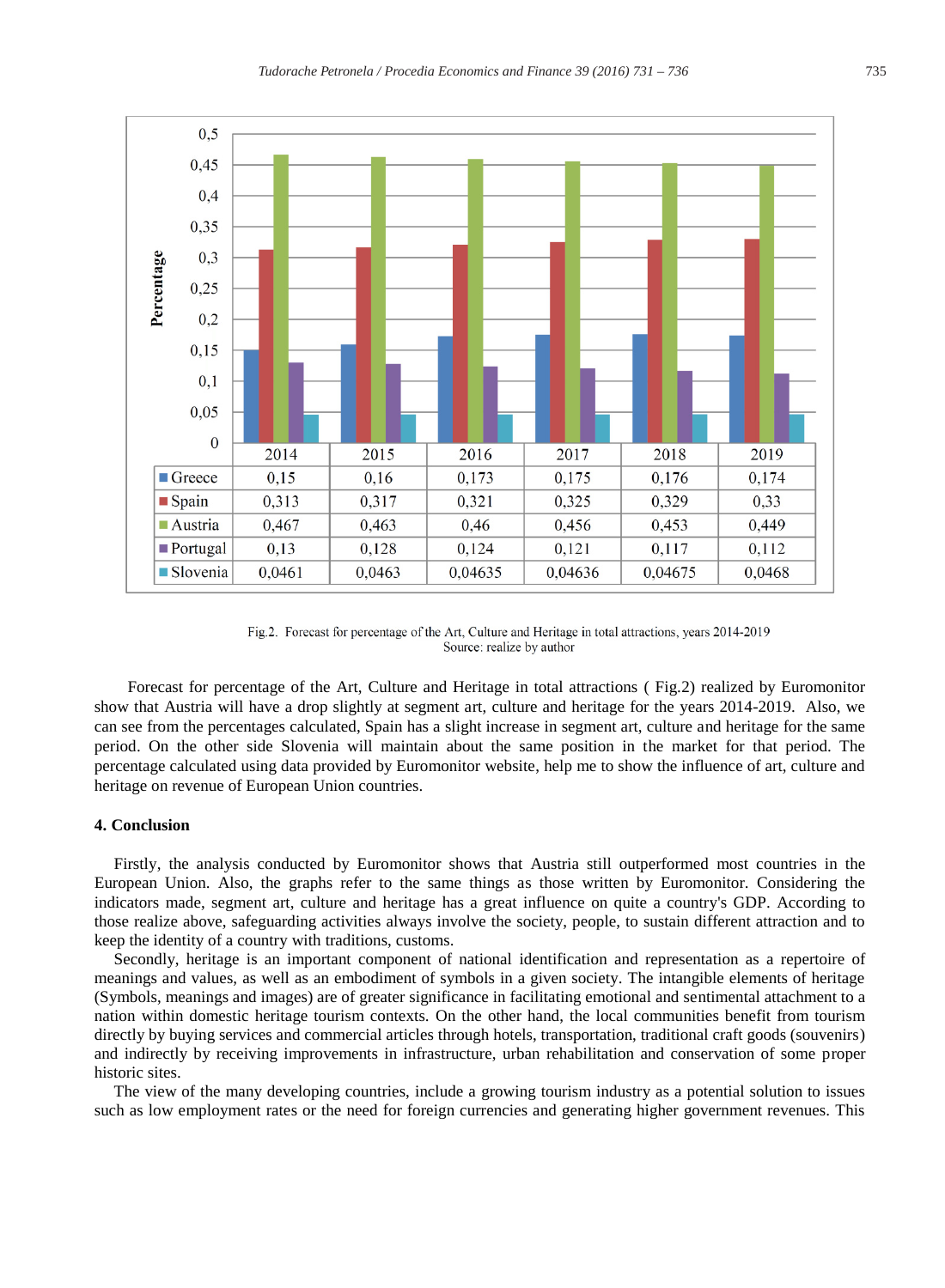

Fig.2. Forecast for percentage of the Art, Culture and Heritage in total attractions, years 2014-2019 Source: realize by author

 Forecast for percentage of the Art, Culture and Heritage in total attractions ( Fig.2) realized by Euromonitor show that Austria will have a drop slightly at segment art, culture and heritage for the years 2014-2019. Also, we can see from the percentages calculated, Spain has a slight increase in segment art, culture and heritage for the same period. On the other side Slovenia will maintain about the same position in the market for that period. The percentage calculated using data provided by Euromonitor website, help me to show the influence of art, culture and heritage on revenue of European Union countries.

#### **4. Conclusion**

Firstly, the analysis conducted by Euromonitor shows that Austria still outperformed most countries in the European Union. Also, the graphs refer to the same things as those written by Euromonitor. Considering the indicators made, segment art, culture and heritage has a great influence on quite a country's GDP. According to those realize above, safeguarding activities always involve the society, people, to sustain different attraction and to keep the identity of a country with traditions, customs.

Secondly, heritage is an important component of national identification and representation as a repertoire of meanings and values, as well as an embodiment of symbols in a given society. The intangible elements of heritage (Symbols, meanings and images) are of greater significance in facilitating emotional and sentimental attachment to a nation within domestic heritage tourism contexts. On the other hand, the local communities benefit from tourism directly by buying services and commercial articles through hotels, transportation, traditional craft goods (souvenirs) and indirectly by receiving improvements in infrastructure, urban rehabilitation and conservation of some proper historic sites.

The view of the many developing countries, include a growing tourism industry as a potential solution to issues such as low employment rates or the need for foreign currencies and generating higher government revenues. This